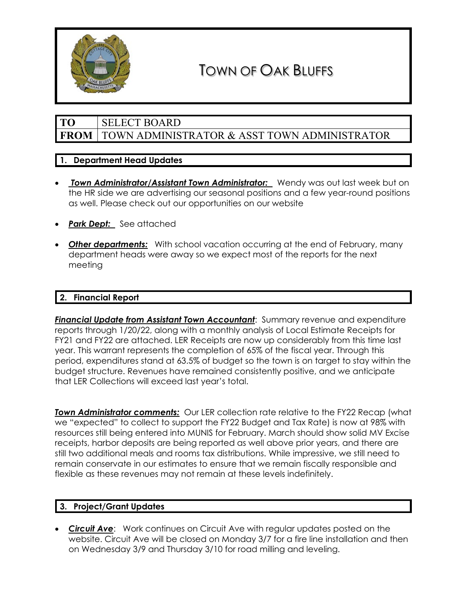

## TOWN OF OAK BLUFFS

## **TO** SELECT BOARD

### **FROM** TOWN ADMINISTRATOR & ASST TOWN ADMINISTRATOR

### **1. Department Head Updates**

- *Town Administrator/Assistant Town Administrator:* Wendy was out last week but on the HR side we are advertising our seasonal positions and a few year-round positions as well. Please check out our opportunities on our website
- *Park Dept:* See attached
- *Other departments:* With school vacation occurring at the end of February, many department heads were away so we expect most of the reports for the next meeting

#### **2. Financial Report**

*Financial Update from Assistant Town Accountant*: Summary revenue and expenditure reports through 1/20/22, along with a monthly analysis of Local Estimate Receipts for FY21 and FY22 are attached. LER Receipts are now up considerably from this time last year. This warrant represents the completion of 65% of the fiscal year. Through this period, expenditures stand at 63.5% of budget so the town is on target to stay within the budget structure. Revenues have remained consistently positive, and we anticipate that LER Collections will exceed last year's total.

**Town Administrator comments:** Our LER collection rate relative to the FY22 Recap (what we "expected" to collect to support the FY22 Budget and Tax Rate) is now at 98% with resources still being entered into MUNIS for February. March should show solid MV Excise receipts, harbor deposits are being reported as well above prior years, and there are still two additional meals and rooms tax distributions. While impressive, we still need to remain conservate in our estimates to ensure that we remain fiscally responsible and flexible as these revenues may not remain at these levels indefinitely.

### **3. Project/Grant Updates**

• *Circuit Ave*: Work continues on Circuit Ave with regular updates posted on the website. Circuit Ave will be closed on Monday 3/7 for a fire line installation and then on Wednesday 3/9 and Thursday 3/10 for road milling and leveling.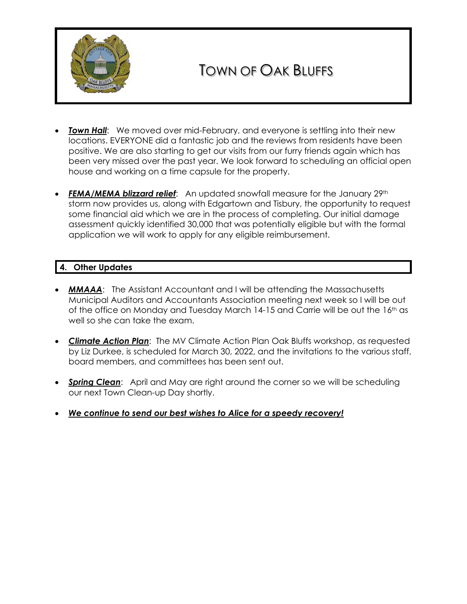

# TOWN OF OAK BLUFFS

- *Town Hall:* We moved over mid-February, and everyone is settling into their new locations. EVERYONE did a fantastic job and the reviews from residents have been positive. We are also starting to get our visits from our furry friends again which has been very missed over the past year. We look forward to scheduling an official open house and working on a time capsule for the property.
- **FEMA/MEMA blizzard relief:** An updated snowfall measure for the January 29<sup>th</sup> storm now provides us, along with Edgartown and Tisbury, the opportunity to request some financial aid which we are in the process of completing. Our initial damage assessment quickly identified 30,000 that was potentially eligible but with the formal application we will work to apply for any eligible reimbursement.

### **4. Other Updates**

- **MMAAA**: The Assistant Accountant and I will be attending the Massachusetts Municipal Auditors and Accountants Association meeting next week so I will be out of the office on Monday and Tuesday March 14-15 and Carrie will be out the 16th as well so she can take the exam.
- *Climate Action Plan*: The MV Climate Action Plan Oak Bluffs workshop, as requested by Liz Durkee, is scheduled for March 30, 2022, and the invitations to the various staff, board members, and committees has been sent out.
- **Spring Clean**: April and May are right around the corner so we will be scheduling our next Town Clean-up Day shortly.
- *We continue to send our best wishes to Alice for a speedy recovery!*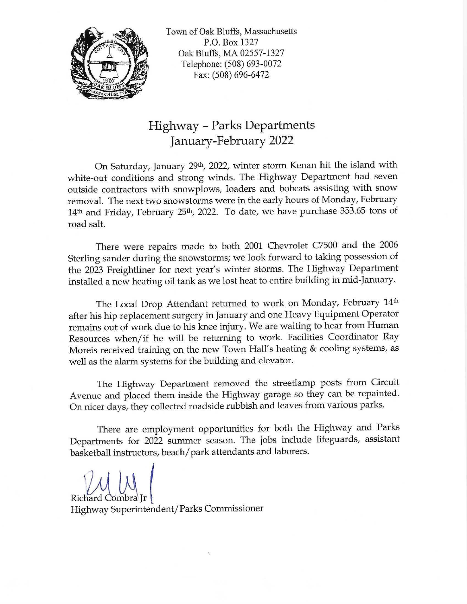

Town of Oak Bluffs, Massachusetts P.O. Box 1327 Oak Bluffs, MA 02557-1327 Telephone: (508) 693-0072 Fax: (508) 696-6472

## Highway - Parks Departments January-February 2022

On Saturday, January 29<sup>th</sup>, 2022, winter storm Kenan hit the island with white-out conditions and strong winds. The Highway Department had seven outside contractors with snowplows, loaders and bobcats assisting with snow removal. The next two snowstorms were in the early hours of Monday, February 14<sup>th</sup> and Friday, February 25<sup>th</sup>, 2022. To date, we have purchase 353.65 tons of road salt.

There were repairs made to both 2001 Chevrolet C7500 and the 2006 Sterling sander during the snowstorms; we look forward to taking possession of the 2023 Freightliner for next year's winter storms. The Highway Department installed a new heating oil tank as we lost heat to entire building in mid-January.

The Local Drop Attendant returned to work on Monday, February 14th after his hip replacement surgery in January and one Heavy Equipment Operator remains out of work due to his knee injury. We are waiting to hear from Human Resources when/if he will be returning to work. Facilities Coordinator Ray Moreis received training on the new Town Hall's heating & cooling systems, as well as the alarm systems for the building and elevator.

The Highway Department removed the streetlamp posts from Circuit Avenue and placed them inside the Highway garage so they can be repainted. On nicer days, they collected roadside rubbish and leaves from various parks.

There are employment opportunities for both the Highway and Parks Departments for 2022 summer season. The jobs include lifeguards, assistant basketball instructors, beach/park attendants and laborers.

Richard Combra Ir Highway Superintendent/Parks Commissioner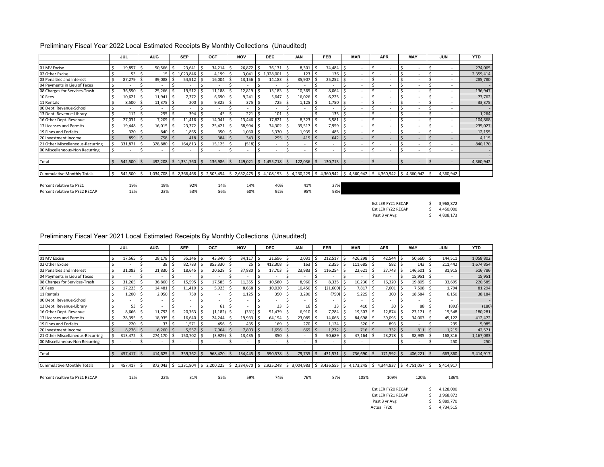| Preliminary Fiscal Year 2022 Local Estimated Receipts By Monthly Collections (Unaudited) |  |
|------------------------------------------------------------------------------------------|--|
|------------------------------------------------------------------------------------------|--|

|                                  |     | JUL     |    | <b>AUG</b>                     |     | <b>SEP</b>                                          |     | OCT     |    | <b>NOV</b>            |     | <b>DEC</b> |    | <b>JAN</b>  |              | <b>FEB</b>     |    | <b>MAR</b>               | <b>APR</b>     | <b>MAY</b> |   | JUN       | <b>YTD</b> |
|----------------------------------|-----|---------|----|--------------------------------|-----|-----------------------------------------------------|-----|---------|----|-----------------------|-----|------------|----|-------------|--------------|----------------|----|--------------------------|----------------|------------|---|-----------|------------|
|                                  |     |         |    |                                |     |                                                     |     |         |    |                       |     |            |    |             |              |                |    |                          |                |            |   |           |            |
| 01 MV Excise                     | .\$ | 19,857  |    | 50,566                         |     | 23,641                                              | Ŝ.  | 34,214  |    | 26,872                |     | 36,131     | .S | 8,301       |              | 74,484         | Ŝ. | $\overline{\phantom{a}}$ | $\sim$         |            |   | $\sim$    | 274,065    |
| 02 Other Excise                  |     | 53      |    | 15                             | l S | 1,023,846                                           | Ŝ   | 4,199   |    | 3,041                 | -Ŝ  | 1,328,001  |    | 123         |              | $136 \quad$ \$ |    | $\overline{\phantom{a}}$ | $\sim$         |            |   | $\sim$    | 2,359,414  |
| 03 Penalties and Interest        | Ś   | 87,279  |    | 39,088                         |     | 54,912                                              |     | 16,004  |    | 13,156                |     | 14,183     |    | 35,907      |              | 25,252         |    | $\overline{\phantom{a}}$ | $\blacksquare$ |            |   | $\sim$    | 285,780    |
| 04 Payments in Lieu of Taxes     | Ŝ.  |         |    |                                |     |                                                     |     |         |    |                       |     |            |    |             |              |                |    | ٠                        | ٠              |            |   | $\sim$    |            |
| 08 Charges for Services-Trash    | -\$ | 36,550  |    | 25,266                         |     | 19,512                                              |     | 11,188  |    | 12,819                |     | 13,183     |    | 10,365      |              | 8,064          | Ŝ. | ٠                        | $\blacksquare$ |            |   | $\sim$    | 136,947    |
| 10 Fees                          | \$  | 10,621  | Ś  | 11,941                         | l S | $7,372$ \$                                          |     | 6,690   |    | 9,241                 | - Ś | 5,647      |    | 16,026      |              | 6,225          | .s |                          | $\blacksquare$ |            |   | $\sim$    | 73,762     |
| 11 Rentals                       | \$  | 8,500   | Ŝ. | 11,375                         | I S | $200 \, \text{S}$                                   |     | 9,325   |    | $375$ \$              |     | 725        |    | 1,125       |              | $1,750$ \$     |    | ٠                        | $\blacksquare$ |            |   | $\sim$    | 33,375     |
| 00 Dept. Revenue-School          |     |         |    |                                |     |                                                     | Ś   |         |    |                       | -Ś  |            |    |             |              |                |    | $\blacksquare$           | $\blacksquare$ |            |   | $\sim$    |            |
| 13 Dept. Revenue-Library         |     | 112     |    | 255                            |     | 394                                                 | Ś   | 45      |    | 221                   |     | 101        |    |             |              | 135            |    | ٠                        | $\blacksquare$ |            |   | $\sim$    | 1,264      |
| 16 Other Dept. Revenue           |     | 27,031  |    | 7,209                          | l S | 11,416                                              | Ŝ   | 14,041  |    | 13,446                |     | 17,821     |    | 8,323       |              | 5,581          |    | ٠                        | ٠              |            |   | $\sim$    | 104,868    |
| 17 Licenses and Permits          | Ś   | 19,448  |    | 16,015                         |     | 23,372                                              |     | 25,421  |    | 68,994                |     | 34,302     |    | 39,517      |              | 7,959          |    | ٠                        | ٠              |            |   | $\sim$    | 235,027    |
| 19 Fines and Forfeits            |     | 320     | S  | 840                            | l S | 1,865                                               | Ŝ.  | 350     |    | 1,030                 |     | 5,330      |    | $1,935$ \$  |              | 485            | Ŝ. | ٠                        | $\blacksquare$ |            |   | $\sim$    | 12,155     |
| 20 Investment Income             |     | 859     | -S | $758$ $\overline{\phantom{1}}$ |     | 418                                                 | \$. | 384     |    | 343                   | -Ś  | 295        | -Ś | $415$ \$    |              | $642 \,$ \$    |    | $\overline{\phantom{a}}$ | $\sim$         |            |   | $\sim$    | 4,115      |
| 21 Other Miscellaneous-Recurring | Ś   | 331,871 |    | 328,880                        |     | 164,813                                             | Ŝ   | 15,125  |    | $(518)$ \$            |     | $\sim$     |    |             |              |                |    | $\overline{\phantom{a}}$ | ۰.             |            |   |           | 840,170    |
| 00 Miscellaneous-Non Recurring   | Ś   |         |    |                                |     |                                                     | Ś   |         |    |                       | Ŝ   |            |    |             |              |                |    | $\blacksquare$           | $\blacksquare$ |            |   | $\sim$    |            |
|                                  |     |         |    |                                |     |                                                     |     |         |    |                       |     |            |    |             |              |                |    |                          |                |            |   |           |            |
| Total                            |     | 542,500 |    | 492,208                        | IS. | 1,331,760                                           |     | 136,986 |    | 149,021               | S.  | 1,455,718  |    | 122,036     |              | $130,713$ \$   |    | $\overline{\phantom{a}}$ | $\sim$         |            |   | $\sim$    | 4,360,942  |
|                                  |     |         |    |                                |     |                                                     |     |         |    |                       |     |            |    |             |              |                |    |                          |                |            |   |           |            |
| Cummulative Monthly Totals       | Ŝ.  | 542,500 |    | 1,034,708                      |     | $\frac{1}{2}$ , 2,366,468 $\frac{1}{2}$ , 2,503,454 |     |         | Ŝ. | 2,652,475 \$4,108,193 |     |            |    | \$4,230,229 | $\mathsf{S}$ | 4,360,942 \$   |    | 4,360,942 \$4,360,942    |                | 4,360,942  | - | 4,360,942 |            |
|                                  |     |         |    |                                |     |                                                     |     |         |    |                       |     |            |    |             |              |                |    |                          |                |            |   |           |            |
| Percent relative to FY21         |     | 19%     |    | 19%                            |     | 92%                                                 |     | 14%     |    | 14%                   |     | 40%        |    | 41%         |              | 27%            |    |                          |                |            |   |           |            |
| Percent relative to FY22 RECAP   |     | 12%     |    | 23%                            |     | 53%                                                 |     | 56%     |    | 60%                   |     | 92%        |    | 95%         |              | 98%            |    |                          |                |            |   |           |            |

\$ 3,968,872 Est LER FY21 RECAP

\$ 4,450,000 \$ 4,808,173 Est LER FY22 RECAP Past 3 yr Avg

#### Preliminary Fiscal Year 2021 Local Estimated Receipts By Monthly Collections (Unaudited)

|                                  |    | JUL     |   | <b>AUG</b>               |     | <b>SEP</b> | OCT                             | <b>NOV</b>               |    | <b>DEC</b>               |    | <b>JAN</b> | <b>FEB</b>                                                                                                                                        |     | <b>MAR</b>               |    | <b>APR</b> | <b>MAY</b>  | <b>JUN</b>               | <b>YTD</b>               |
|----------------------------------|----|---------|---|--------------------------|-----|------------|---------------------------------|--------------------------|----|--------------------------|----|------------|---------------------------------------------------------------------------------------------------------------------------------------------------|-----|--------------------------|----|------------|-------------|--------------------------|--------------------------|
|                                  |    |         |   |                          |     |            |                                 |                          |    |                          |    |            |                                                                                                                                                   |     |                          |    |            |             |                          |                          |
| 01 MV Excise                     |    | 17,565  |   | 28,178                   |     | 35,346     | 43,340                          | 34,117                   |    | 21,696                   |    | 2,031      | 212,517                                                                                                                                           |     | 426,298                  |    | 42,544     | 50,660      | 144,511                  | 1,058,802                |
| 02 Other Excise                  |    |         |   | 38                       | - 5 | 82,783     | 853,330                         | 25                       |    | 412,308                  | Ŝ  | 163        | 2,355                                                                                                                                             |     | 111,685                  |    | 582        | 143         | 211,442                  | 1,674,854                |
| 03 Penalties and Interest        |    | 31.083  |   | 21,830                   |     | 18.645     | 20,628                          | 37,880                   |    | 17.703                   |    | 23,983     | 116,254                                                                                                                                           |     | 22,621                   |    | 27.743     | 146,501     | 31,915                   | 516,786                  |
| 04 Payments in Lieu of Taxes     |    |         |   | ۰                        |     |            |                                 |                          |    |                          |    |            |                                                                                                                                                   |     |                          |    |            | 15,951      | $\overline{\phantom{a}}$ | 15,951                   |
| 08 Charges for Services-Trash    |    | 31,265  |   | 36,860                   |     | 15,595     | 17,585                          | 11,355                   |    | 10,580                   |    | 8,960      | 8,335                                                                                                                                             |     | 10,230                   |    | 16,320     | 19,805      | 33,695                   | 220,585                  |
| 10 Fees                          |    | 17,223  | S | 14,481                   | - S | 11,410     | 5,923                           | 8,668                    | ιs | 10,020                   | S  | 10,450     | (21,600) \$                                                                                                                                       |     | 7,817                    | -S | 7,601      | 7,508       | 1,794                    | 81,294                   |
| 11 Rentals                       |    | 1,200   |   | 2,050                    |     | 750        |                                 | 1,125                    |    | 350                      | S  | 3,200      | $(750)$ \$                                                                                                                                        |     | 5,225                    |    | 300        | 18,584      | 6,150                    | 38,184                   |
| 00 Dept. Revenue-School          |    |         |   | $\overline{\phantom{a}}$ |     |            |                                 |                          |    |                          |    |            |                                                                                                                                                   |     |                          |    |            |             | $\sim$                   | $\overline{\phantom{a}}$ |
| 13 Dept. Revenue-Library         |    | 53      |   | ۰                        |     |            | 61                              |                          |    | 33                       | Ŝ  | 16         | 23 <sub>1</sub>                                                                                                                                   |     | 410                      |    | 30         | 88          | (893)                    | (180)                    |
| 16 Other Dept. Revenue           |    | 8,666   |   | 11,792                   |     | 20,763     | (1, 182)                        | (331)                    |    | 51,479                   | S  | 6,910      | 7,284                                                                                                                                             | - S | 19,307                   |    | 12,874     | 23,171      | 19,548                   | 180,281                  |
| 17 Licenses and Permits          |    | 28,395  |   | 18,935                   |     | 16,640     | 24,244                          | 19,933                   |    | 64,194                   |    | 23,085     | 14,068                                                                                                                                            |     | 84,698                   |    | 39,095     | 34,063      | 45,122                   | 412,472                  |
| 19 Fines and Forfeits            |    | 220     | S | 33                       | l S | 1.571      | 456                             | 435                      | ΙS | 169                      | S  | 270        | 1,124                                                                                                                                             |     | 520                      |    | 893        |             | 295                      | 5,985                    |
| 20 Investment Income             |    | 8,276   |   | 6,260                    |     | 5,557      | 7,964                           | 7,803                    |    | L,696                    |    | 669        | 1.272                                                                                                                                             |     | 716                      |    | 332        | 811         | 1.215                    | 42,571                   |
| 21 Other Miscellaneous-Recurring |    | 313.472 |   | 274,170                  |     | 150.702    | (3,929)                         | 13,435                   | ΙS | 350                      | Ŝ. |            | 90.689                                                                                                                                            |     | 47,164                   |    | 23,278     | 88,935      | 168,816                  | 1,167,083                |
| 00 Miscellaneous-Non Recurring   |    | ٠       |   | $\overline{\phantom{a}}$ |     |            |                                 | $\overline{\phantom{a}}$ |    | $\overline{\phantom{a}}$ | Ŝ  |            |                                                                                                                                                   |     | $\overline{\phantom{a}}$ |    |            |             | 250                      | 250                      |
|                                  |    |         |   |                          |     |            |                                 |                          |    |                          |    |            |                                                                                                                                                   |     |                          |    |            |             |                          |                          |
| Total                            |    | 457,417 |   | 414,625                  |     | 359,762    | 968,420                         | 134,445                  |    | 590,578                  |    | 79,735     | 431,571                                                                                                                                           |     | 736,690                  |    | 171,592    | 406,221     | 663,860                  | 5,414,917                |
|                                  |    |         |   |                          |     |            |                                 |                          |    |                          |    |            |                                                                                                                                                   |     |                          |    |            |             |                          |                          |
| Cummulative Monthly Totals       | Š. | 457.417 |   |                          |     |            | 872,043 \$1,231,804 \$2,200,225 |                          |    |                          |    |            | $\binom{1}{2}$ , 334,670 $\binom{5}{2}$ , 2,925,248 $\binom{5}{2}$ , 3,004,983 $\binom{5}{2}$ , 3,436,555 $\binom{5}{2}$ 4,173,245 $\binom{5}{2}$ |     |                          |    | 4,344,837  | \$4,751,057 | 5,414,917                |                          |

Percent realtive to FY21 RECAP 12% 22% 31% 55% 59% 74% 76% 87% 105% 105% 109% 120% 136%

| Est LER FY20 RECAP | S | 4.128.000 |
|--------------------|---|-----------|
| Est LER FY21 RECAP | ς | 3.968.872 |
| Past 3 yr Avg      | ς | 5.889.770 |
| <b>Actual FY20</b> | ς | 4,734,515 |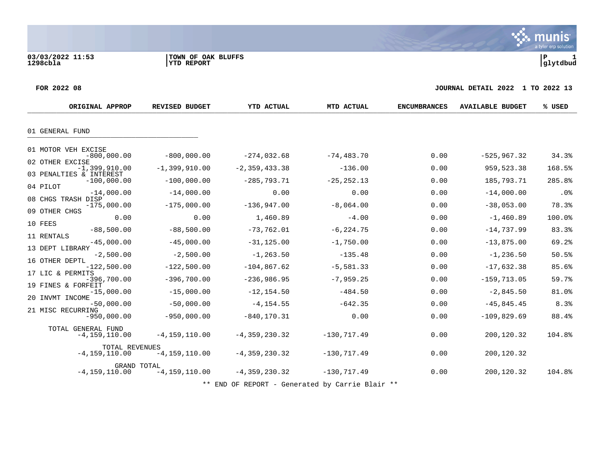munis a tyler erp solution

#### **FOR 2022 08 JOURNAL DETAIL 2022 1 TO 2022 13**

| ORIGINAL APPROP         |                                            | <b>REVISED BUDGET</b>            | <b>YTD ACTUAL</b> | MTD ACTUAL     | <b>ENCUMBRANCES</b> | <b>AVAILABLE BUDGET</b> | % USED |
|-------------------------|--------------------------------------------|----------------------------------|-------------------|----------------|---------------------|-------------------------|--------|
|                         |                                            |                                  |                   |                |                     |                         |        |
| 01 GENERAL FUND         |                                            |                                  |                   |                |                     |                         |        |
| 01 MOTOR VEH EXCISE     |                                            |                                  |                   |                |                     |                         |        |
| 02 OTHER EXCISE         | $-800,000.00$                              | $-800,000.00$                    | $-274,032.68$     | $-74, 483, 70$ | 0.00                | $-525, 967.32$          | 34.3%  |
|                         | $-1,399,910.00$                            | $-1,399,910.00$                  | $-2, 359, 433.38$ | $-136.00$      | 0.00                | 959,523.38              | 168.5% |
| 03 PENALTIES & INTEREST | $-100,000.00$                              | $-100,000.00$                    | $-285, 793.71$    | $-25, 252.13$  | 0.00                | 185,793.71              | 285.8% |
| 04 PILOT                | $-14,000.00$                               | $-14,000.00$                     | 0.00              | 0.00           | 0.00                | $-14,000.00$            | .0%    |
| 08 CHGS TRASH DISP      |                                            |                                  |                   |                |                     |                         |        |
| 09 OTHER CHGS           | $-175,000.00$                              | $-175,000.00$                    | $-136,947.00$     | $-8,064.00$    | 0.00                | $-38,053.00$            | 78.3%  |
| 10 FEES                 | 0.00                                       | 0.00                             | 1,460.89          | $-4.00$        | 0.00                | $-1,460.89$             | 100.0% |
|                         | $-88,500.00$                               | $-88,500.00$                     | $-73, 762.01$     | $-6, 224.75$   | 0.00                | $-14,737.99$            | 83.3%  |
| 11 RENTALS              | $-45,000.00$                               | $-45,000.00$                     | $-31, 125.00$     | $-1,750.00$    | 0.00                | $-13,875.00$            | 69.2%  |
| 13 DEPT LIBRARY         | $-2,500.00$                                | $-2,500.00$                      | $-1, 263.50$      | $-135.48$      | 0.00                | $-1, 236.50$            | 50.5%  |
| 16 OTHER DEPTL          | $-122,500.00$                              | $-122,500.00$                    | $-104,867.62$     | $-5,581.33$    | 0.00                | $-17,632.38$            | 85.6%  |
| 17 LIC & PERMITS        | $-396,700.00$                              | $-396,700.00$                    | $-236,986.95$     | $-7,959.25$    | 0.00                | $-159, 713.05$          | 59.7%  |
| 19 FINES & FORFEIT      | $-15,000.00$                               | $-15,000.00$                     | $-12, 154.50$     | $-484.50$      | 0.00                | $-2,845.50$             | 81.0%  |
| 20 INVMT INCOME         | $-50,000.00$                               | $-50,000.00$                     | $-4, 154.55$      | $-642.35$      | 0.00                | $-45,845.45$            | 8.3%   |
| 21 MISC RECURRING       | $-950,000.00$                              | $-950,000.00$                    | $-840, 170.31$    | 0.00           | 0.00                | $-109,829.69$           | 88.4%  |
| TOTAL GENERAL FUND      | $-4, 159, 110.00$                          | $-4, 159, 110.00$                | $-4, 359, 230.32$ | $-130, 717.49$ | 0.00                | 200,120.32              | 104.8% |
|                         | <b>TOTAL REVENUES</b><br>$-4, 159, 110.00$ | $-4, 159, 110.00$                | $-4, 359, 230.32$ | $-130, 717.49$ | 0.00                | 200,120.32              |        |
|                         | $-4, 159, 110.00$                          | GRAND TOTAL<br>$-4, 159, 110.00$ | $-4, 359, 230.32$ | $-130, 717.49$ | 0.00                | 200,120.32              | 104.8% |

\*\* END OF REPORT - Generated by Carrie Blair \*\*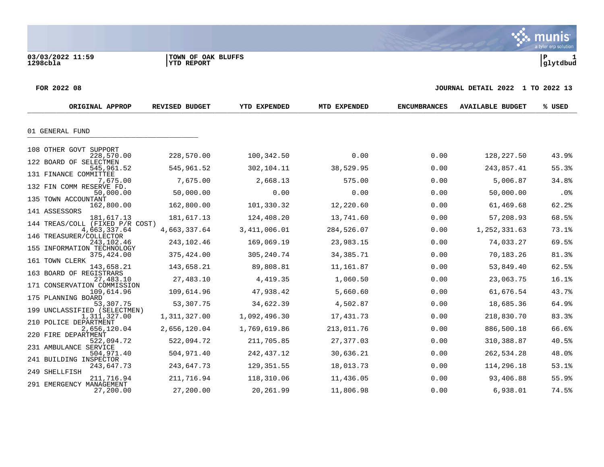$\ddot{\mathbf{w}}$  munis a tyler erp solution

#### **FOR 2022 08 JOURNAL DETAIL 2022 1 TO 2022 13**

| ORIGINAL APPROP                                 | <b>REVISED BUDGET</b> | YTD EXPENDED   | MTD EXPENDED | <b>ENCUMBRANCES</b> | <b>AVAILABLE BUDGET</b> | % USED |
|-------------------------------------------------|-----------------------|----------------|--------------|---------------------|-------------------------|--------|
|                                                 |                       |                |              |                     |                         |        |
| 01 GENERAL FUND                                 |                       |                |              |                     |                         |        |
| 108 OTHER GOVT SUPPORT                          |                       |                |              |                     |                         |        |
| 228,570.00                                      | 228,570.00            | 100,342.50     | 0.00         | 0.00                | 128,227.50              | 43.9%  |
| 122 BOARD OF SELECTMEN<br>545,961.52            | 545,961.52            | 302,104.11     | 38,529.95    | 0.00                | 243,857.41              | 55.3%  |
| 131 FINANCE COMMITTEE<br>7,675.00               | 7,675.00              | 2,668.13       | 575.00       | 0.00                | 5,006.87                | 34.8%  |
| 132 FIN COMM RESERVE FD.                        |                       |                |              |                     |                         |        |
| 50,000.00<br>135 TOWN ACCOUNTANT                | 50,000.00             | 0.00           | 0.00         | 0.00                | 50,000.00               | .0%    |
| 162,800.00<br>141 ASSESSORS                     | 162,800.00            | 101,330.32     | 12,220.60    | 0.00                | 61,469.68               | 62.2%  |
| 181,617.13                                      | 181,617.13            | 124,408.20     | 13,741.60    | 0.00                | 57,208.93               | 68.5%  |
| 144 TREAS/COLL (FIXED P/R COST)<br>4,663,337.64 | 4,663,337.64          | 3, 411, 006.01 | 284,526.07   | 0.00                | 1, 252, 331.63          | 73.1%  |
| 146 TREASURER/COLLECTOR<br>243, 102. 46         | 243, 102. 46          | 169,069.19     | 23,983.15    | 0.00                | 74,033.27               | 69.5%  |
| 155 INFORMATION TECHNOLOGY                      |                       |                |              |                     |                         |        |
| 375,424.00<br>161 TOWN CLERK                    | 375,424.00            | 305, 240.74    | 34, 385. 71  | 0.00                | 70,183.26               | 81.3%  |
| 143,658.21<br>163 BOARD OF REGISTRARS           | 143,658.21            | 89,808.81      | 11,161.87    | 0.00                | 53,849.40               | 62.5%  |
| 27,483.10                                       | 27,483.10             | 4,419.35       | 1,060.50     | 0.00                | 23,063.75               | 16.1%  |
| 171 CONSERVATION COMMISSION<br>109,614.96       | 109,614.96            | 47,938.42      | 5,660.60     | 0.00                | 61,676.54               | 43.7%  |
| 175 PLANNING BOARD<br>53,307.75                 | 53,307.75             | 34,622.39      | 4,502.87     | 0.00                | 18,685.36               | 64.9%  |
| 199 UNCLASSIFIED (SELECTMEN)<br>1,311,327.00    | 1,311,327.00          | 1,092,496.30   | 17,431.73    | 0.00                | 218,830.70              | 83.3%  |
| 210 POLICE DEPARTMENT                           |                       |                |              |                     |                         |        |
| 2,656,120.04<br>220 FIRE DEPARTMENT             | 2,656,120.04          | 1,769,619.86   | 213,011.76   | 0.00                | 886,500.18              | 66.6%  |
| 522,094.72<br>231 AMBULANCE SERVICE             | 522,094.72            | 211,705.85     | 27,377.03    | 0.00                | 310,388.87              | 40.5%  |
| 504,971.40                                      | 504,971.40            | 242, 437. 12   | 30,636.21    | 0.00                | 262,534.28              | 48.0%  |
| 241 BUILDING INSPECTOR<br>243,647.73            | 243,647.73            | 129,351.55     | 18,013.73    | 0.00                | 114,296.18              | 53.1%  |
| 249 SHELLFISH<br>211,716.94                     | 211,716.94            | 118,310.06     | 11,436.05    | 0.00                | 93,406.88               | 55.9%  |
| 291 EMERGENCY MANAGEMENT                        |                       |                |              |                     |                         |        |
| 27,200.00                                       | 27,200.00             | 20,261.99      | 11,806.98    | 0.00                | 6,938.01                | 74.5%  |